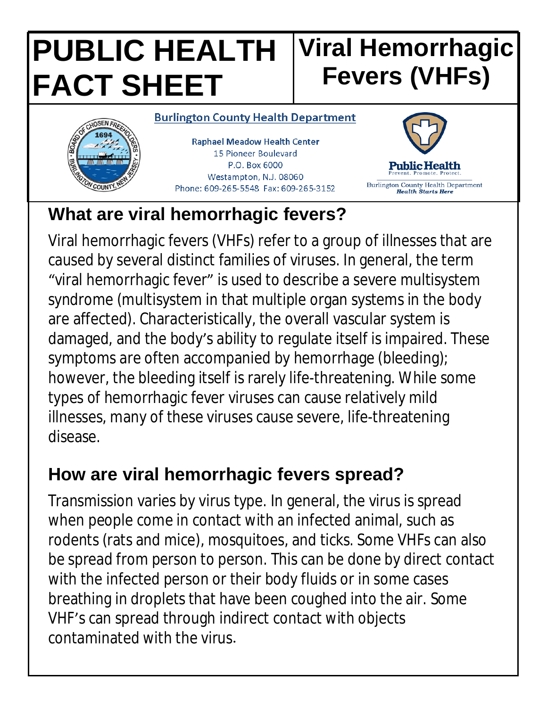#### **PUBLIC HEALTH FACT SHEET Viral Hemorrhagic Fevers (VHFs)**



**Raphael Meadow Health Center** 15 Pioneer Boulevard P.O. Box 6000 Westampton, N.J. 08060

Phone: 609-265-5548 Fax: 609-265-3152



# **What are viral hemorrhagic fevers?**

Viral hemorrhagic fevers (VHFs) refer to a group of illnesses that are caused by several distinct families of viruses. In general, the term "viral hemorrhagic fever" is used to describe a severe multisystem syndrome (multisystem in that multiple organ systems in the body are affected). Characteristically, the overall vascular system is damaged, and the body's ability to regulate itself is impaired. These symptoms are often accompanied by hemorrhage (bleeding); however, the bleeding itself is rarely life-threatening. While some types of hemorrhagic fever viruses can cause relatively mild illnesses, many of these viruses cause severe, life-threatening disease.

# **How are viral hemorrhagic fevers spread?**

Transmission varies by virus type. In general, the virus is spread when people come in contact with an infected animal, such as rodents (rats and mice), mosquitoes, and ticks. Some VHFs can also be spread from person to person. This can be done by direct contact with the infected person or their body fluids or in some cases breathing in droplets that have been coughed into the air. Some VHF's can spread through indirect contact with objects contaminated with the virus.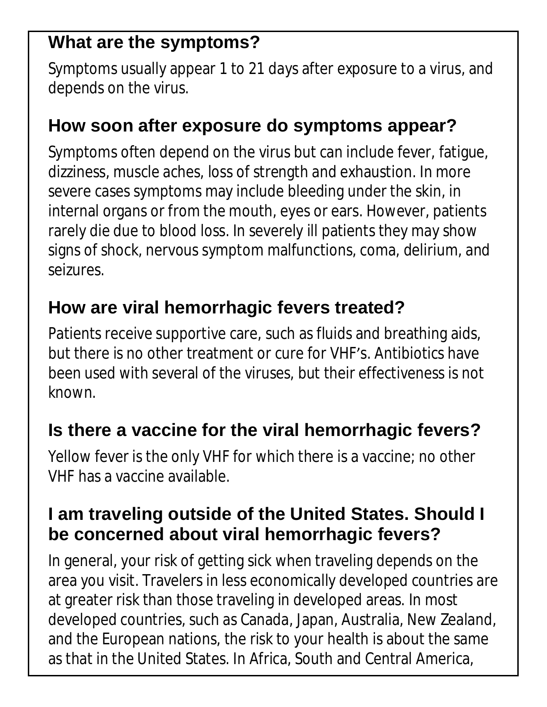## **What are the symptoms?**

Symptoms usually appear 1 to 21 days after exposure to a virus, and depends on the virus.

### **How soon after exposure do symptoms appear?**

Symptoms often depend on the virus but can include fever, fatigue, dizziness, muscle aches, loss of strength and exhaustion. In more severe cases symptoms may include bleeding under the skin, in internal organs or from the mouth, eyes or ears. However, patients rarely die due to blood loss. In severely ill patients they may show signs of shock, nervous symptom malfunctions, coma, delirium, and seizures.

### **How are viral hemorrhagic fevers treated?**

Patients receive supportive care, such as fluids and breathing aids, but there is no other treatment or cure for VHF's. Antibiotics have been used with several of the viruses, but their effectiveness is not known.

### **Is there a vaccine for the viral hemorrhagic fevers?**

Yellow fever is the only VHF for which there is a vaccine; no other VHF has a vaccine available.

#### **I am traveling outside of the United States. Should I be concerned about viral hemorrhagic fevers?**

In general, your risk of getting sick when traveling depends on the area you visit. Travelers in less economically developed countries are at greater risk than those traveling in developed areas. In most developed countries, such as Canada, Japan, Australia, New Zealand, and the European nations, the risk to your health is about the same as that in the United States. In Africa, South and Central America,